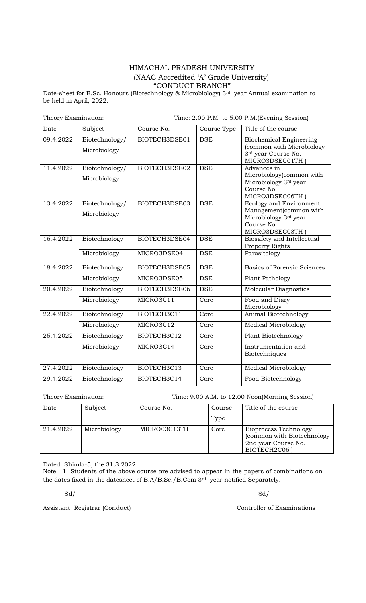## HIMACHAL PRADESH UNIVERSITY (NAAC Accredited "A" Grade University) "CONDUCT BRANCH"

Date-sheet for B.Sc. Honours (Biotechnology & Microbiology) 3<sup>rd</sup> year Annual examination to be held in April, 2022.

Theory Examination: Time: 2.00 P.M. to 5.00 P.M.(Evening Session)

| Date      | Subject                        | Course No.    | Course Type | Title of the course                                                                                        |
|-----------|--------------------------------|---------------|-------------|------------------------------------------------------------------------------------------------------------|
| 09.4.2022 | Biotechnology/<br>Microbiology | BIOTECH3DSE01 | <b>DSE</b>  | <b>Biochemical Engineering</b><br>(common with Microbiology<br>3rd year Course No.<br>MICRO3DSEC01TH       |
| 11.4.2022 | Biotechnology/<br>Microbiology | BIOTECH3DSE02 | <b>DSE</b>  | Advances in<br>Microbiology(common with<br>Microbiology 3rd year<br>Course No.<br>MICRO3DSEC06TH           |
| 13.4.2022 | Biotechnology/<br>Microbiology | BIOTECH3DSE03 | <b>DSE</b>  | Ecology and Environment<br>Management(common with<br>Microbiology 3rd year<br>Course No.<br>MICRO3DSEC03TH |
| 16.4.2022 | Biotechnology                  | BIOTECH3DSE04 | <b>DSE</b>  | Biosafety and Intellectual<br>Property Rights                                                              |
|           | Microbiology                   | MICRO3DSE04   | <b>DSE</b>  | Parasitology                                                                                               |
| 18.4.2022 | Biotechnology                  | BIOTECH3DSE05 | <b>DSE</b>  | <b>Basics of Forensic Sciences</b>                                                                         |
|           | Microbiology                   | MICRO3DSE05   | <b>DSE</b>  | Plant Pathology                                                                                            |
| 20.4.2022 | Biotechnology                  | BIOTECH3DSE06 | <b>DSE</b>  | Molecular Diagnostics                                                                                      |
|           | Microbiology                   | MICRO3C11     | Core        | Food and Diary<br>Microbiology                                                                             |
| 22.4.2022 | Biotechnology                  | BIOTECH3C11   | Core        | Animal Biotechnology                                                                                       |
|           | Microbiology                   | MICRO3C12     | Core        | <b>Medical Microbiology</b>                                                                                |
| 25.4.2022 | Biotechnology                  | BIOTECH3C12   | Core        | Plant Biotechnology                                                                                        |
|           | Microbiology                   | MICRO3C14     | Core        | Instrumentation and<br>Biotechniques                                                                       |
| 27.4.2022 | Biotechnology                  | BIOTECH3C13   | Core        | <b>Medical Microbiology</b>                                                                                |
| 29.4.2022 | Biotechnology                  | BIOTECH3C14   | Core        | Food Biotechnology                                                                                         |

Theory Examination: Time: 9.00 A.M. to 12.00 Noon(Morning Session)

| Date      | Subject      | Course No.   | Course | Title of the course                                                                              |
|-----------|--------------|--------------|--------|--------------------------------------------------------------------------------------------------|
|           |              |              | Type   |                                                                                                  |
| 21.4.2022 | Microbiology | MICRO03C13TH | Core   | <b>Bioprocess Technology</b><br>(common with Biotechnology<br>2nd year Course No.<br>BIOTECH2C06 |

Dated: Shimla-5, the 31.3.2022

Note: 1. Students of the above course are advised to appear in the papers of combinations on the dates fixed in the datesheet of B.A/B.Sc./B.Com 3rd year notified Separately.

 $Sd$  /-

Assistant Registrar (Conduct) Controller of Examinations